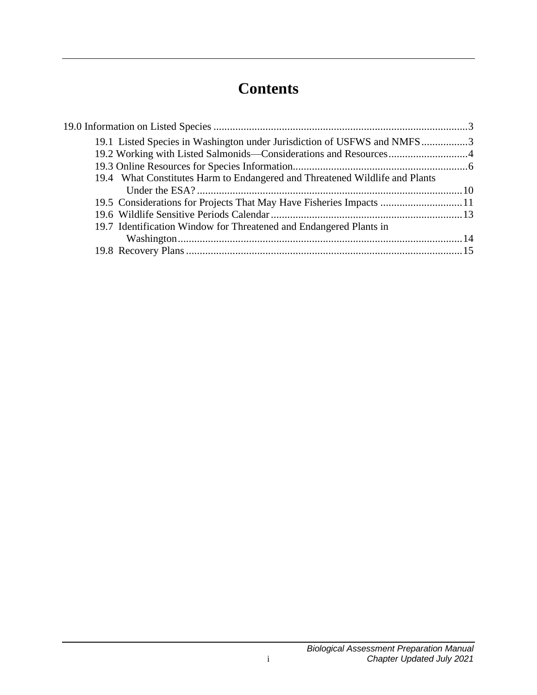# **Contents**

| 19.1 Listed Species in Washington under Jurisdiction of USFWS and NMFS3     |  |
|-----------------------------------------------------------------------------|--|
| 19.2 Working with Listed Salmonids—Considerations and Resources4            |  |
|                                                                             |  |
| 19.4 What Constitutes Harm to Endangered and Threatened Wildlife and Plants |  |
|                                                                             |  |
| 19.5 Considerations for Projects That May Have Fisheries Impacts 11         |  |
|                                                                             |  |
| 19.7 Identification Window for Threatened and Endangered Plants in          |  |
|                                                                             |  |
|                                                                             |  |
|                                                                             |  |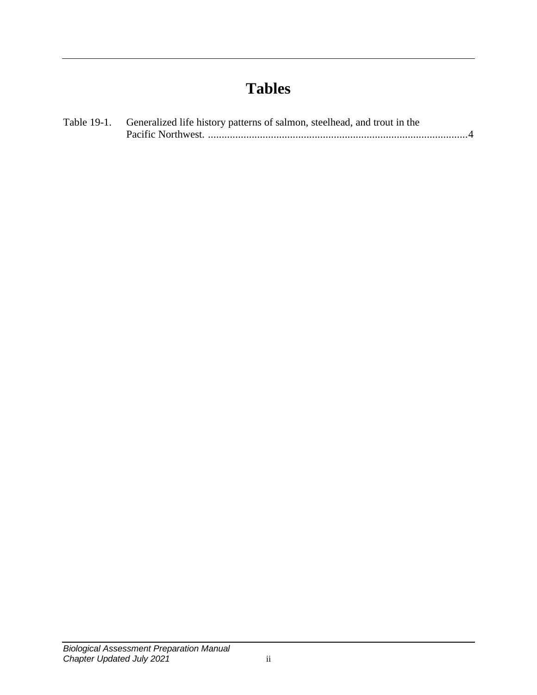# **Tables**

| Table 19-1. Generalized life history patterns of salmon, steelhead, and trout in the |
|--------------------------------------------------------------------------------------|
|                                                                                      |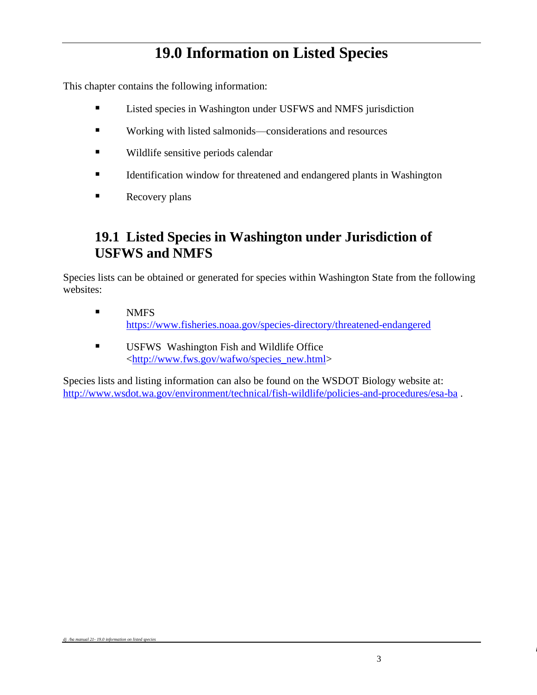## **19.0 Information on Listed Species**

<span id="page-4-0"></span>This chapter contains the following information:

- Listed species in Washington under USFWS and NMFS jurisdiction
- Working with listed salmonids—considerations and resources
- Wildlife sensitive periods calendar
- **Example 1** Identification window for threatened and endangered plants in Washington
- Recovery plans

### <span id="page-4-1"></span>**19.1 Listed Species in Washington under Jurisdiction of USFWS and NMFS**

Species lists can be obtained or generated for species within Washington State from the following websites:

- NMFS <https://www.fisheries.noaa.gov/species-directory/threatened-endangered>
- **USFWS Washington Fish and Wildlife Office** [<http://www.fws.gov/wafwo/species\\_new.html>](http://www.fws.gov/wafwo/species_new.html)

Species lists and listing information can also be found on the WSDOT Biology website at: <http://www.wsdot.wa.gov/environment/technical/fish-wildlife/policies-and-procedures/esa-ba> .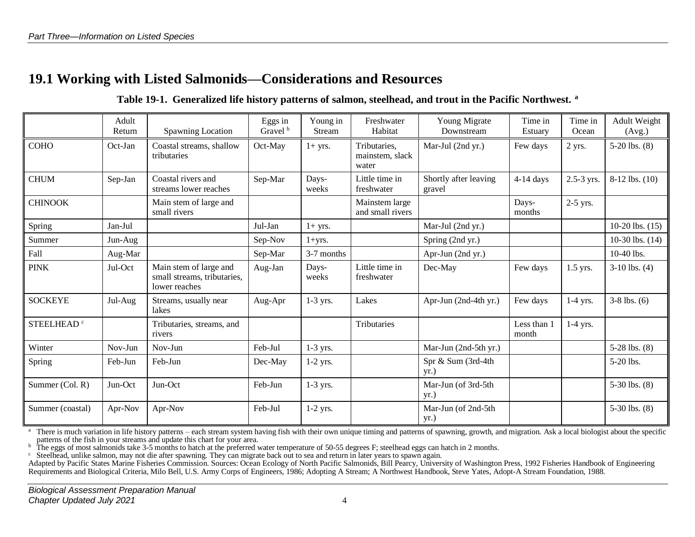### **19.1 Working with Listed Salmonids—Considerations and Resources**

#### **Table 19-1. Generalized life history patterns of salmon, steelhead, and trout in the Pacific Northwest. <sup>a</sup>**

<span id="page-5-1"></span><span id="page-5-0"></span>

|                        | Adult<br>Return | Spawning Location                                                      | Eggs in<br>Gravel <sup>b</sup> | Young in<br><b>Stream</b> | Freshwater<br>Habitat                    | Young Migrate<br>Downstream                    | Time in<br>Estuary   | Time in<br>Ocean | Adult Weight<br>(Avg.) |
|------------------------|-----------------|------------------------------------------------------------------------|--------------------------------|---------------------------|------------------------------------------|------------------------------------------------|----------------------|------------------|------------------------|
| <b>COHO</b>            | Oct-Jan         | Coastal streams, shallow<br>tributaries                                | Oct-May                        | $1+$ yrs.                 | Tributaries,<br>mainstem, slack<br>water | Mar-Jul (2nd yr.)<br>Few days                  |                      | 2 yrs.           | $5-20$ lbs. $(8)$      |
| <b>CHUM</b>            | Sep-Jan         | Coastal rivers and<br>streams lower reaches                            | Sep-Mar                        | Days-<br>weeks            | Little time in<br>freshwater             | Shortly after leaving<br>$4-14$ days<br>gravel |                      | 2.5-3 yrs.       | $8-12$ lbs. $(10)$     |
| <b>CHINOOK</b>         |                 | Main stem of large and<br>small rivers                                 |                                |                           | Mainstem large<br>and small rivers       |                                                | Days-<br>months      | 2-5 yrs.         |                        |
| Spring                 | Jan-Jul         |                                                                        | Jul-Jan                        | $1+$ yrs.                 |                                          | Mar-Jul (2nd yr.)                              |                      |                  | 10-20 lbs. $(15)$      |
| Summer                 | Jun-Aug         |                                                                        | Sep-Nov                        | $1 + yrs.$                |                                          | Spring (2nd yr.)                               |                      |                  | 10-30 lbs. (14)        |
| Fall                   | Aug-Mar         |                                                                        | Sep-Mar                        | 3-7 months                |                                          | Apr-Jun (2nd yr.)                              |                      |                  | 10-40 lbs.             |
| <b>PINK</b>            | Jul-Oct         | Main stem of large and<br>small streams, tributaries,<br>lower reaches | Aug-Jan                        | Days-<br>weeks            | Little time in<br>freshwater             | Dec-May                                        | Few days             | 1.5 yrs.         | $3-10$ lbs. $(4)$      |
| <b>SOCKEYE</b>         | Jul-Aug         | Streams, usually near<br>lakes                                         | Aug-Apr                        | 1-3 yrs.                  | Lakes                                    | Apr-Jun (2nd-4th yr.)                          | Few days             | $1-4$ yrs.       | $3-8$ lbs. $(6)$       |
| STEELHEAD <sup>c</sup> |                 | Tributaries, streams, and<br>rivers                                    |                                |                           | Tributaries                              |                                                | Less than 1<br>month | $1-4$ yrs.       |                        |
| Winter                 | Nov-Jun         | Nov-Jun                                                                | Feb-Jul                        | 1-3 yrs.                  |                                          | Mar-Jun (2nd-5th yr.)                          |                      |                  | 5-28 lbs. $(8)$        |
| Spring                 | Feb-Jun         | Feb-Jun                                                                | Dec-May                        | $1-2$ yrs.                |                                          | Spr & Sum (3rd-4th<br>yr.)                     |                      |                  | 5-20 lbs.              |
| Summer (Col. R)        | Jun-Oct         | Jun-Oct                                                                | Feb-Jun                        | 1-3 yrs.                  |                                          | Mar-Jun (of 3rd-5th<br>yr.)                    |                      |                  | 5-30 lbs. $(8)$        |
| Summer (coastal)       | Apr-Nov         | Apr-Nov                                                                | Feb-Jul                        | $1-2$ yrs.                |                                          | Mar-Jun (of 2nd-5th<br>yr.)                    |                      |                  | $5-30$ lbs. $(8)$      |

<sup>a</sup> There is much variation in life history patterns – each stream system having fish with their own unique timing and patterns of spawning, growth, and migration. Ask a local biologist about the specific patterns of the fish in your streams and update this chart for your area.

 $\overline{b}$  The eggs of most salmonids take 3-5 months to hatch at the preferred water temperature of 50-55 degrees F; steelhead eggs can hatch in 2 months.

 $\epsilon$  Steelhead, unlike salmon, may not die after spawning. They can migrate back out to sea and return in later years to spawn again.

Adapted by Pacific States Marine Fisheries Commission. Sources: Ocean Ecology of North Pacific Salmonids, Bill Pearcy, University of Washington Press, 1992 Fisheries Handbook of Engineering Requirements and Biological Criteria, Milo Bell, U.S. Army Corps of Engineers, 1986; Adopting A Stream; A Northwest Handbook, Steve Yates, Adopt-A Stream Foundation, 1988.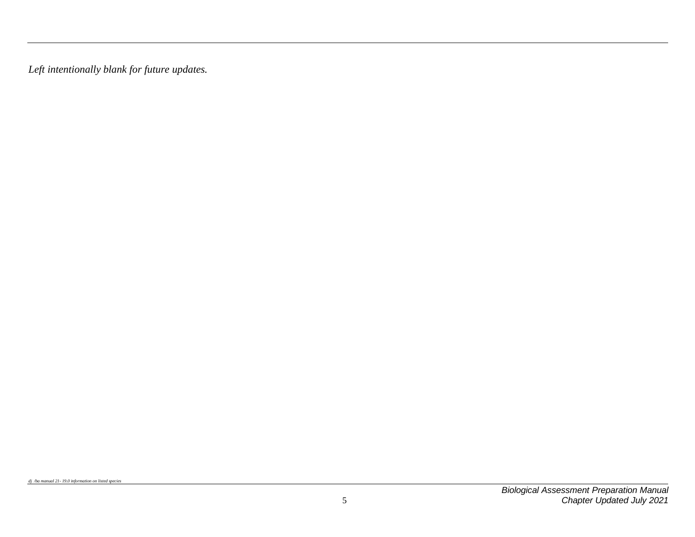*Left intentionally blank for future updates.*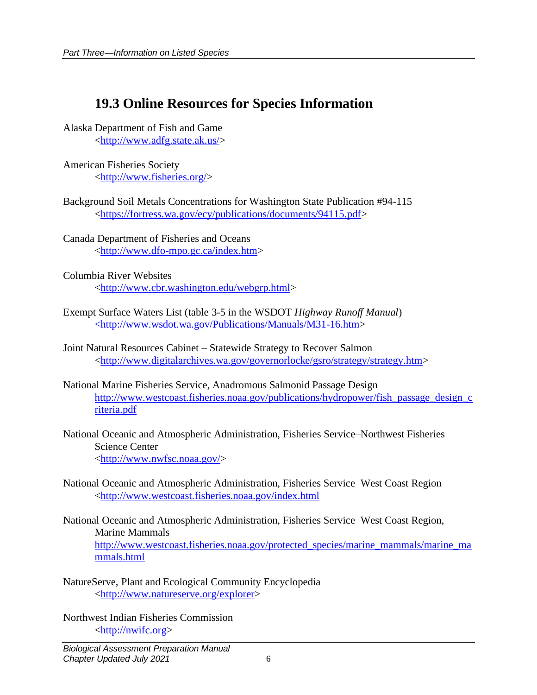## <span id="page-7-0"></span>**19.3 Online Resources for Species Information**

- Alaska Department of Fish and Game [<http://www.adfg.state.ak.us/>](http://www.adfg.state.ak.us/)
- American Fisheries Society [<http://www.fisheries.org/>](http://www.fisheries.org/)
- Background Soil Metals Concentrations for Washington State Publication #94-115 [<https://fortress.wa.gov/ecy/publications/documents/94115.pdf>](https://fortress.wa.gov/ecy/publications/documents/94115.pdf)
- Canada Department of Fisheries and Oceans [<http://www.dfo-mpo.gc.ca/index.htm>](http://www.dfo-mpo.gc.ca/index.htm)
- Columbia River Websites [<http://www.cbr.washington.edu/webgrp.html>](http://www.cbr.washington.edu/webgrp.html)
- Exempt Surface Waters List (table 3-5 in the WSDOT *Highway Runoff Manual*) <http://www.wsdot.wa.gov/Publications/Manuals/M31-16.htm>
- Joint Natural Resources Cabinet Statewide Strategy to Recover Salmon [<http://www.digitalarchives.wa.gov/governorlocke/gsro/strategy/strategy.htm>](http://www.digitalarchives.wa.gov/governorlocke/gsro/strategy/strategy.htm)
- National Marine Fisheries Service, Anadromous Salmonid Passage Design [http://www.westcoast.fisheries.noaa.gov/publications/hydropower/fish\\_passage\\_design\\_c](http://www.westcoast.fisheries.noaa.gov/publications/hydropower/fish_passage_design_criteria.pdf) [riteria.pdf](http://www.westcoast.fisheries.noaa.gov/publications/hydropower/fish_passage_design_criteria.pdf)
- National Oceanic and Atmospheric Administration, Fisheries Service–Northwest Fisheries Science Center [<http://www.nwfsc.noaa.gov/>](http://www.nwfsc.noaa.gov/)
- National Oceanic and Atmospheric Administration, Fisheries Service–West Coast Region [<http://www.westcoast.fisheries.noaa.gov/index.html](http://www.westcoast.fisheries.noaa.gov/index.html)
- National Oceanic and Atmospheric Administration, Fisheries Service–West Coast Region, Marine Mammals [http://www.westcoast.fisheries.noaa.gov/protected\\_species/marine\\_mammals/marine\\_ma](http://www.westcoast.fisheries.noaa.gov/protected_species/marine_mammals/marine_mammals.html) [mmals.html](http://www.westcoast.fisheries.noaa.gov/protected_species/marine_mammals/marine_mammals.html)
- NatureServe, Plant and Ecological Community Encyclopedia [<http://www.natureserve.org/explorer>](http://www.natureserve.org/explorer)

Northwest Indian Fisheries Commission [<http://nwifc.org>](http://nwifc.org/)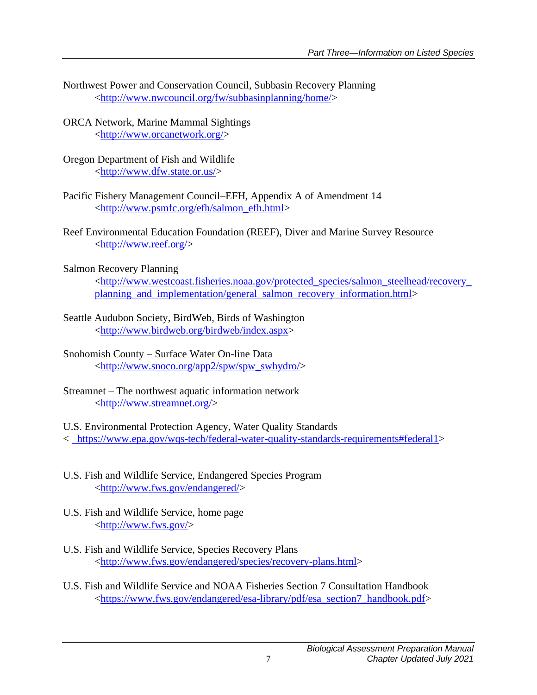- Northwest Power and Conservation Council, Subbasin Recovery Planning [<http://www.nwcouncil.org/fw/subbasinplanning/home/>](http://www.nwcouncil.org/fw/subbasinplanning/home/)
- ORCA Network, Marine Mammal Sightings [<http://www.orcanetwork.org/>](http://www.orcanetwork.org/)
- Oregon Department of Fish and Wildlife [<http://www.dfw.state.or.us/>](http://www.dfw.state.or.us/)
- Pacific Fishery Management Council–EFH, Appendix A of Amendment 14 [<http://www.psmfc.org/efh/salmon\\_efh.html>](http://www.psmfc.org/efh/salmon_efh.html)
- Reef Environmental Education Foundation (REEF), Diver and Marine Survey Resource [<http://www.reef.org/>](http://www.reef.org/)
- Salmon Recovery Planning

[<http://www.westcoast.fisheries.noaa.gov/protected\\_species/salmon\\_steelhead/recovery\\_](http://www.westcoast.fisheries.noaa.gov/protected_species/salmon_steelhead/recovery_planning_and_implementation/general_salmon_recovery_information.html) planning and implementation/general salmon recovery information.html>

- Seattle Audubon Society, BirdWeb, Birds of Washington [<http://www.birdweb.org/birdweb/index.aspx>](http://www.birdweb.org/birdweb/index.aspx)
- Snohomish County Surface Water On-line Data [<http://www.snoco.org/app2/spw/spw\\_swhydro/>](http://www.snoco.org/app2/spw/spw_swhydro/)
- Streamnet The northwest aquatic information network [<http://www.streamnet.org/>](http://www.streamnet.org/)
- U.S. Environmental Protection Agency, Water Quality Standards

< [https://www.epa.gov/wqs-tech/federal-water-quality-standards-requirements#federal1>](https://www.epa.gov/wqs-tech/federal-water-quality-standards-requirements#federal1)

- U.S. Fish and Wildlife Service, Endangered Species Program [<http://www.fws.gov/endangered/>](http://www.fws.gov/endangered/)
- U.S. Fish and Wildlife Service, home page  $\langle$ http://www.fws.gov/ $>$
- U.S. Fish and Wildlife Service, Species Recovery Plans [<http://www.fws.gov/endangered/species/recovery-plans.html>](http://www.fws.gov/endangered/species/recovery-plans.html)
- U.S. Fish and Wildlife Service and NOAA Fisheries Section 7 Consultation Handbook [<https://www.fws.gov/endangered/esa-library/pdf/esa\\_section7\\_handbook.pdf>](https://www.fws.gov/endangered/esa-library/pdf/esa_section7_handbook.pdf)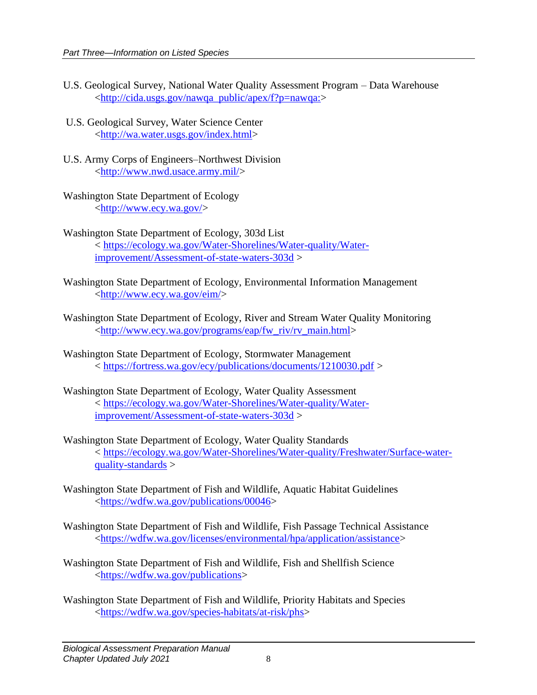- U.S. Geological Survey, National Water Quality Assessment Program Data Warehouse [<http://cida.usgs.gov/nawqa\\_public/apex/f?p=nawqa:>](http://cida.usgs.gov/nawqa_public/apex/f?p=nawqa:)
- U.S. Geological Survey, Water Science Center [<http://wa.water.usgs.gov/index.html>](http://wa.water.usgs.gov/index.html)
- U.S. Army Corps of Engineers–Northwest Division [<http://www.nwd.usace.army.mil/>](http://www.nwd.usace.army.mil/)
- Washington State Department of Ecology [<http://www.ecy.wa.gov/>](http://www.ecy.wa.gov/)
- Washington State Department of Ecology, 303d List < [https://ecology.wa.gov/Water-Shorelines/Water-quality/Water](https://ecology.wa.gov/Water-Shorelines/Water-quality/Water-improvement/Assessment-of-state-waters-303d)[improvement/Assessment-of-state-waters-303d](https://ecology.wa.gov/Water-Shorelines/Water-quality/Water-improvement/Assessment-of-state-waters-303d) >
- Washington State Department of Ecology, Environmental Information Management [<http://www.ecy.wa.gov/eim/>](http://www.ecy.wa.gov/eim/)
- Washington State Department of Ecology, River and Stream Water Quality Monitoring [<http://www.ecy.wa.gov/programs/eap/fw\\_riv/rv\\_main.html>](http://www.ecy.wa.gov/programs/eap/fw_riv/rv_main.html)
- Washington State Department of Ecology, Stormwater Management < <https://fortress.wa.gov/ecy/publications/documents/1210030.pdf> >
- Washington State Department of Ecology, Water Quality Assessment < [https://ecology.wa.gov/Water-Shorelines/Water-quality/Water](https://ecology.wa.gov/Water-Shorelines/Water-quality/Water-improvement/Assessment-of-state-waters-303d)[improvement/Assessment-of-state-waters-303d](https://ecology.wa.gov/Water-Shorelines/Water-quality/Water-improvement/Assessment-of-state-waters-303d) >
- Washington State Department of Ecology, Water Quality Standards < [https://ecology.wa.gov/Water-Shorelines/Water-quality/Freshwater/Surface-water](https://ecology.wa.gov/Water-Shorelines/Water-quality/Freshwater/Surface-water-quality-standards)[quality-standards](https://ecology.wa.gov/Water-Shorelines/Water-quality/Freshwater/Surface-water-quality-standards)  $>$
- Washington State Department of Fish and Wildlife, Aquatic Habitat Guidelines [<https://wdfw.wa.gov/publications/00046>](https://wdfw.wa.gov/publications/00046)
- Washington State Department of Fish and Wildlife, Fish Passage Technical Assistance [<https://wdfw.wa.gov/licenses/environmental/hpa/application/assistance>](https://wdfw.wa.gov/licenses/environmental/hpa/application/assistance)
- Washington State Department of Fish and Wildlife, Fish and Shellfish Science [<https://wdfw.wa.gov/publications>](https://wdfw.wa.gov/publications)
- Washington State Department of Fish and Wildlife, Priority Habitats and Species [<https://wdfw.wa.gov/species-habitats/at-risk/phs>](https://wdfw.wa.gov/species-habitats/at-risk/phs)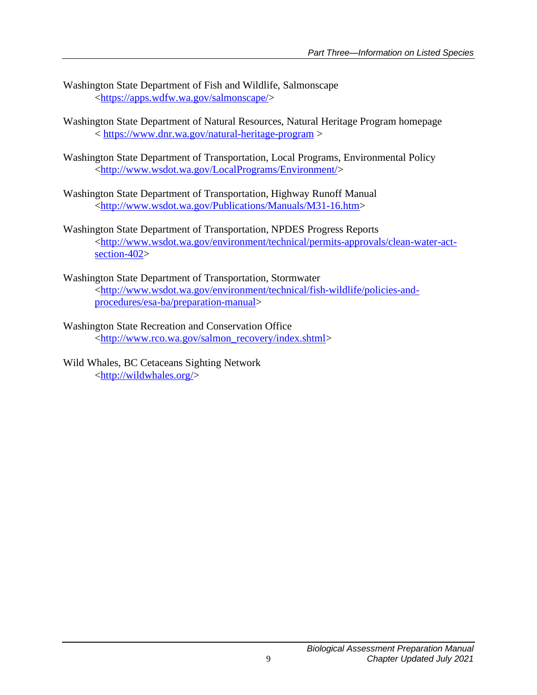- Washington State Department of Fish and Wildlife, Salmonscape [<https://apps.wdfw.wa.gov/salmonscape/>](https://apps.wdfw.wa.gov/salmonscape/)
- Washington State Department of Natural Resources, Natural Heritage Program homepage < <https://www.dnr.wa.gov/natural-heritage-program> >
- Washington State Department of Transportation, Local Programs, Environmental Policy [<http://www.wsdot.wa.gov/LocalPrograms/Environment/>](http://www.wsdot.wa.gov/LocalPrograms/Environment/)
- Washington State Department of Transportation, Highway Runoff Manual [<http://www.wsdot.wa.gov/Publications/Manuals/M31-16.htm>](http://www.wsdot.wa.gov/Publications/Manuals/M31-16.htm)
- Washington State Department of Transportation, NPDES Progress Reports [<http://www.wsdot.wa.gov/environment/technical/permits-approvals/clean-water-act](http://www.wsdot.wa.gov/environment/technical/permits-approvals/clean-water-act-section-402)[section-402>](http://www.wsdot.wa.gov/environment/technical/permits-approvals/clean-water-act-section-402)
- Washington State Department of Transportation, Stormwater [<http://www.wsdot.wa.gov/environment/technical/fish-wildlife/policies-and](http://www.wsdot.wa.gov/environment/technical/fish-wildlife/policies-and-procedures/esa-ba/preparation-manual)[procedures/esa-ba/preparation-manual>](http://www.wsdot.wa.gov/environment/technical/fish-wildlife/policies-and-procedures/esa-ba/preparation-manual)
- Washington State Recreation and Conservation Office [<http://www.rco.wa.gov/salmon\\_recovery/index.shtml>](http://www.rco.wa.gov/salmon_recovery/index.shtml)
- Wild Whales, BC Cetaceans Sighting Network [<http://wildwhales.org/>](http://wildwhales.org/)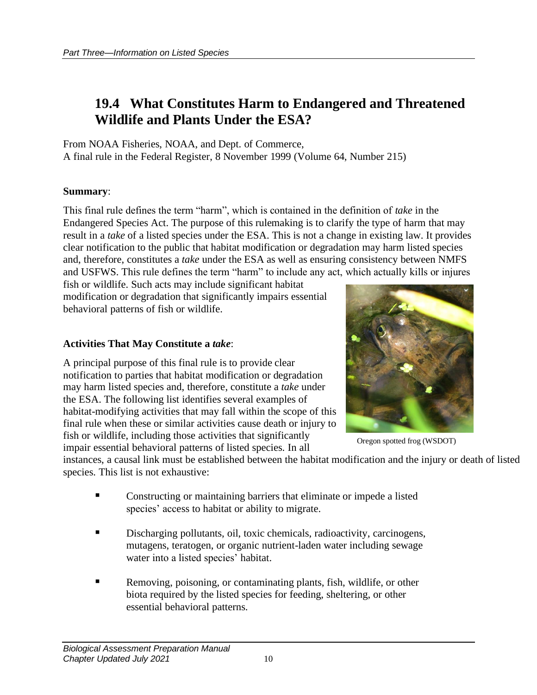### <span id="page-11-0"></span>**19.4 What Constitutes Harm to Endangered and Threatened Wildlife and Plants Under the ESA?**

From NOAA Fisheries, NOAA, and Dept. of Commerce, A final rule in the Federal Register, 8 November 1999 (Volume 64, Number 215)

#### **Summary**:

This final rule defines the term "harm", which is contained in the definition of *take* in the Endangered Species Act. The purpose of this rulemaking is to clarify the type of harm that may result in a *take* of a listed species under the ESA. This is not a change in existing law. It provides clear notification to the public that habitat modification or degradation may harm listed species and, therefore, constitutes a *take* under the ESA as well as ensuring consistency between NMFS and USFWS. This rule defines the term "harm" to include any act, which actually kills or injures

fish or wildlife. Such acts may include significant habitat modification or degradation that significantly impairs essential behavioral patterns of fish or wildlife.

#### **Activities That May Constitute a** *take*:

A principal purpose of this final rule is to provide clear notification to parties that habitat modification or degradation may harm listed species and, therefore, constitute a *take* under the ESA. The following list identifies several examples of habitat-modifying activities that may fall within the scope of this final rule when these or similar activities cause death or injury to fish or wildlife, including those activities that significantly impair essential behavioral patterns of listed species. In all



Oregon spotted frog (WSDOT)

instances, a causal link must be established between the habitat modification and the injury or death of listed species. This list is not exhaustive:

- Constructing or maintaining barriers that eliminate or impede a listed species' access to habitat or ability to migrate.
- Discharging pollutants, oil, toxic chemicals, radioactivity, carcinogens, mutagens, teratogen, or organic nutrient-laden water including sewage water into a listed species' habitat.
- Removing, poisoning, or contaminating plants, fish, wildlife, or other biota required by the listed species for feeding, sheltering, or other essential behavioral patterns.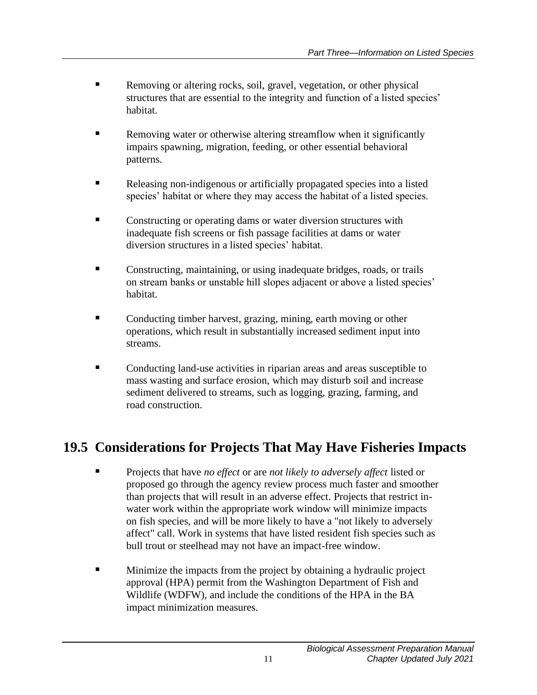- Removing or altering rocks, soil, gravel, vegetation, or other physical structures that are essential to the integrity and function of a listed species' habitat.
- **EXECUTE:** Removing water or otherwise altering streamflow when it significantly impairs spawning, migration, feeding, or other essential behavioral patterns.
- Releasing non-indigenous or artificially propagated species into a listed species' habitat or where they may access the habitat of a listed species.
- Constructing or operating dams or water diversion structures with inadequate fish screens or fish passage facilities at dams or water diversion structures in a listed species' habitat.
- Constructing, maintaining, or using inadequate bridges, roads, or trails on stream banks or unstable hill slopes adjacent or above a listed species' habitat.
- Conducting timber harvest, grazing, mining, earth moving or other operations, which result in substantially increased sediment input into streams.
- Conducting land-use activities in riparian areas and areas susceptible to mass wasting and surface erosion, which may disturb soil and increase sediment delivered to streams, such as logging, grazing, farming, and road construction.

## <span id="page-12-0"></span>**19.5 Considerations for Projects That May Have Fisheries Impacts**

- Projects that have *no effect* or are *not likely to adversely affect* listed or proposed go through the agency review process much faster and smoother than projects that will result in an adverse effect. Projects that restrict inwater work within the appropriate work window will minimize impacts on fish species, and will be more likely to have a "not likely to adversely affect" call. Work in systems that have listed resident fish species such as bull trout or steelhead may not have an impact-free window.
- **E** Minimize the impacts from the project by obtaining a hydraulic project approval (HPA) permit from the Washington Department of Fish and Wildlife (WDFW), and include the conditions of the HPA in the BA impact minimization measures.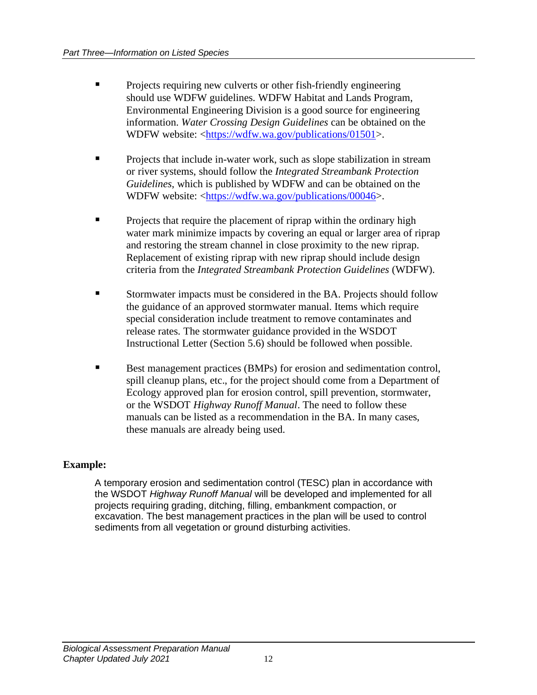- Projects requiring new culverts or other fish-friendly engineering should use WDFW guidelines. WDFW Habitat and Lands Program, Environmental Engineering Division is a good source for engineering information. *Water Crossing Design Guidelines* can be obtained on the WDFW website: [<https://wdfw.wa.gov/publications/01501>](https://wdfw.wa.gov/publications/01501).
- **•** Projects that include in-water work, such as slope stabilization in stream or river systems, should follow the *Integrated Streambank Protection Guidelines*, which is published by WDFW and can be obtained on the WDFW website: [<https://wdfw.wa.gov/publications/00046>](https://wdfw.wa.gov/publications/00046).
- Projects that require the placement of riprap within the ordinary high water mark minimize impacts by covering an equal or larger area of riprap and restoring the stream channel in close proximity to the new riprap. Replacement of existing riprap with new riprap should include design criteria from the *Integrated Streambank Protection Guidelines* (WDFW).
- Stormwater impacts must be considered in the BA. Projects should follow the guidance of an approved stormwater manual. Items which require special consideration include treatment to remove contaminates and release rates. The stormwater guidance provided in the WSDOT Instructional Letter (Section 5.6) should be followed when possible.
- Best management practices (BMPs) for erosion and sedimentation control, spill cleanup plans, etc., for the project should come from a Department of Ecology approved plan for erosion control, spill prevention, stormwater, or the WSDOT *Highway Runoff Manual*. The need to follow these manuals can be listed as a recommendation in the BA. In many cases, these manuals are already being used.

#### **Example:**

A temporary erosion and sedimentation control (TESC) plan in accordance with the WSDOT *Highway Runoff Manual* will be developed and implemented for all projects requiring grading, ditching, filling, embankment compaction, or excavation. The best management practices in the plan will be used to control sediments from all vegetation or ground disturbing activities.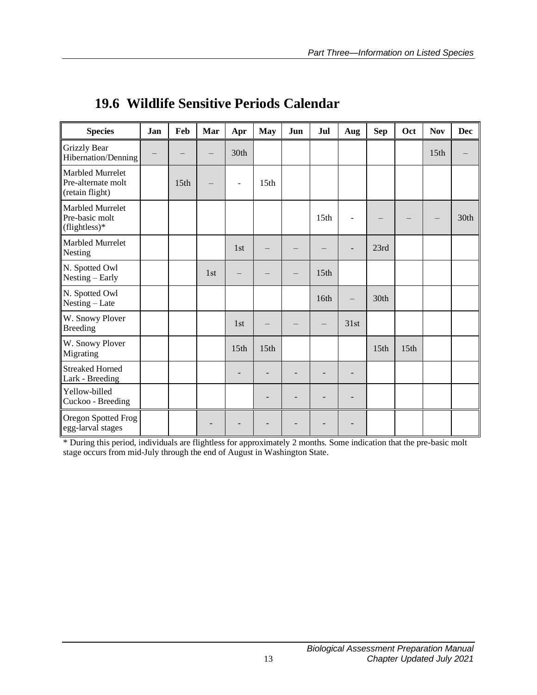| <b>Species</b>                                               | Jan | Feb  | Mar | Apr              | <b>May</b>       | Jun | Jul              | Aug                      | <b>Sep</b>       | Oct              | <b>Nov</b> | <b>Dec</b> |
|--------------------------------------------------------------|-----|------|-----|------------------|------------------|-----|------------------|--------------------------|------------------|------------------|------------|------------|
| <b>Grizzly Bear</b><br>Hibernation/Denning                   |     |      |     | 30th             |                  |     |                  |                          |                  |                  | 15th       |            |
| Marbled Murrelet<br>Pre-alternate molt<br>(retain flight)    |     | 15th |     | ÷,               | 15 <sub>th</sub> |     |                  |                          |                  |                  |            |            |
| <b>Marbled Murrelet</b><br>Pre-basic molt<br>$(flightless)*$ |     |      |     |                  |                  |     | 15 <sub>th</sub> |                          |                  |                  |            | 30th       |
| Marbled Murrelet<br>Nesting                                  |     |      |     | 1st              |                  |     |                  |                          | 23rd             |                  |            |            |
| N. Spotted Owl<br>Nesting – Early                            |     |      | 1st |                  |                  |     | 15 <sub>th</sub> |                          |                  |                  |            |            |
| N. Spotted Owl<br>Nesting - Late                             |     |      |     |                  |                  |     | 16th             | $\overline{\phantom{0}}$ | 30th             |                  |            |            |
| W. Snowy Plover<br><b>Breeding</b>                           |     |      |     | 1st              |                  |     |                  | 31st                     |                  |                  |            |            |
| W. Snowy Plover<br>Migrating                                 |     |      |     | 15 <sub>th</sub> | 15 <sub>th</sub> |     |                  |                          | 15 <sup>th</sup> | 15 <sub>th</sub> |            |            |
| <b>Streaked Horned</b><br>Lark - Breeding                    |     |      |     |                  |                  |     |                  | $\overline{\phantom{0}}$ |                  |                  |            |            |
| Yellow-billed<br>Cuckoo - Breeding                           |     |      |     |                  | $\overline{a}$   |     |                  |                          |                  |                  |            |            |
| Oregon Spotted Frog<br>egg-larval stages                     |     |      |     |                  |                  |     |                  |                          |                  |                  |            |            |

## <span id="page-14-0"></span>**19.6 Wildlife Sensitive Periods Calendar**

\* During this period, individuals are flightless for approximately 2 months. Some indication that the pre-basic molt stage occurs from mid-July through the end of August in Washington State.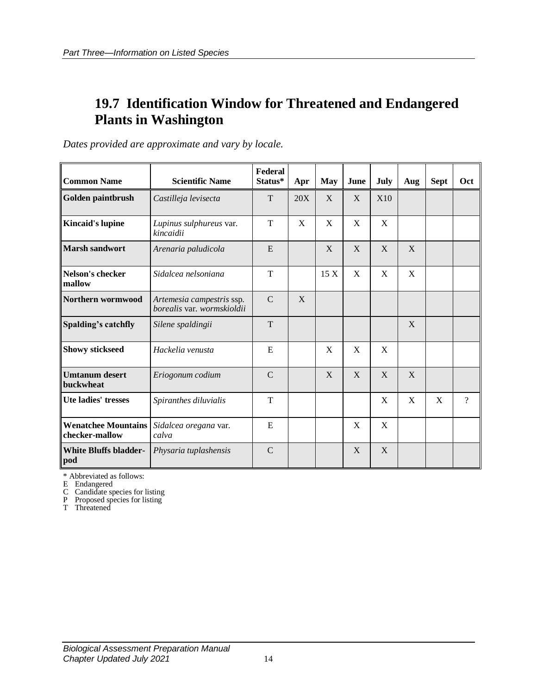### <span id="page-15-0"></span>**19.7 Identification Window for Threatened and Endangered Plants in Washington**

*Dates provided are approximate and vary by locale.*

| <b>Common Name</b>                           | <b>Scientific Name</b>                                  | Federal<br>Status* | Apr | <b>May</b> | June | July       | Aug | <b>Sept</b> | Oct            |
|----------------------------------------------|---------------------------------------------------------|--------------------|-----|------------|------|------------|-----|-------------|----------------|
| Golden paintbrush                            | Castilleja levisecta                                    | T                  | 20X | X          | X    | <b>X10</b> |     |             |                |
| <b>Kincaid's lupine</b>                      | Lupinus sulphureus var.<br>kincaidii                    | T                  | X   | X          | X    | X          |     |             |                |
| <b>Marsh sandwort</b>                        | Arenaria paludicola                                     | E                  |     | X          | X    | X          | X   |             |                |
| Nelson's checker<br>mallow                   | Sidalcea nelsoniana                                     | T                  |     | 15X        | X    | X          | X   |             |                |
| Northern wormwood                            | Artemesia campestris ssp.<br>borealis var. wormskioldii | $\mathcal{C}$      | X   |            |      |            |     |             |                |
| Spalding's catchfly                          | Silene spaldingii                                       | T                  |     |            |      |            | X   |             |                |
| <b>Showy stickseed</b>                       | Hackelia venusta                                        | E                  |     | X          | X    | X          |     |             |                |
| <b>Umtanum</b> desert<br>buckwheat           | Eriogonum codium                                        | $\mathcal{C}$      |     | X          | X    | X          | X   |             |                |
| Ute ladies' tresses                          | Spiranthes diluvialis                                   | T                  |     |            |      | X          | X   | X           | $\overline{?}$ |
| <b>Wenatchee Mountains</b><br>checker-mallow | Sidalcea oregana var.<br>calva                          | E                  |     |            | X    | X          |     |             |                |
| <b>White Bluffs bladder-</b><br>pod          | Physaria tuplashensis                                   | $\mathcal{C}$      |     |            | X    | X          |     |             |                |

\* Abbreviated as follows:

E Endangered

C Candidate species for listing

P Proposed species for listing

T Threatened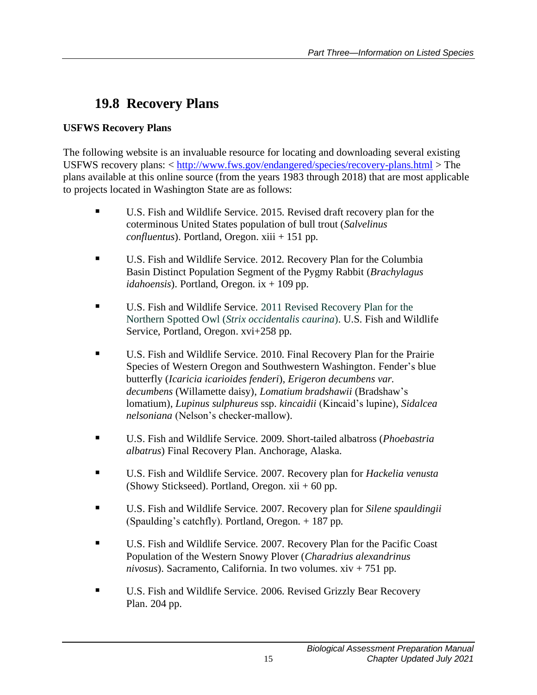# <span id="page-16-0"></span>**19.8 Recovery Plans**

#### **USFWS Recovery Plans**

The following website is an invaluable resource for locating and downloading several existing USFWS recovery plans: < <http://www.fws.gov/endangered/species/recovery-plans.html> > The plans available at this online source (from the years 1983 through 2018) that are most applicable to projects located in Washington State are as follows:

- U.S. Fish and Wildlife Service. 2015. Revised draft recovery plan for the coterminous United States population of bull trout (*Salvelinus confluentus*). Portland, Oregon. xiii + 151 pp.
- U.S. Fish and Wildlife Service. 2012. Recovery Plan for the Columbia Basin Distinct Population Segment of the Pygmy Rabbit (*Brachylagus idahoensis*). Portland, Oregon. ix + 109 pp.
- U.S. Fish and Wildlife Service. 2011 Revised Recovery Plan for the Northern Spotted Owl (*Strix occidentalis caurina*). U.S. Fish and Wildlife Service, Portland, Oregon. xvi+258 pp.
- U.S. Fish and Wildlife Service. 2010. Final Recovery Plan for the Prairie Species of Western Oregon and Southwestern Washington. Fender's blue butterfly (*Icaricia icarioides fenderi*), *Erigeron decumbens var. decumbens* (Willamette daisy), *Lomatium bradshawii* (Bradshaw's lomatium), *Lupinus sulphureus* ssp. *kincaidii* (Kincaid's lupine), *Sidalcea nelsoniana* (Nelson's checker-mallow).
- U.S. Fish and Wildlife Service. 2009. Short-tailed albatross (*Phoebastria albatrus*) Final Recovery Plan. Anchorage, Alaska.
- U.S. Fish and Wildlife Service. 2007. Recovery plan for *Hackelia venusta* (Showy Stickseed). Portland, Oregon.  $xii + 60$  pp.
- U.S. Fish and Wildlife Service. 2007. Recovery plan for *Silene spauldingii* (Spaulding's catchfly). Portland, Oregon. + 187 pp.
- U.S. Fish and Wildlife Service. 2007. Recovery Plan for the Pacific Coast Population of the Western Snowy Plover (*Charadrius alexandrinus nivosus*). Sacramento, California. In two volumes. xiv + 751 pp.
- U.S. Fish and Wildlife Service. 2006. Revised Grizzly Bear Recovery Plan. 204 pp.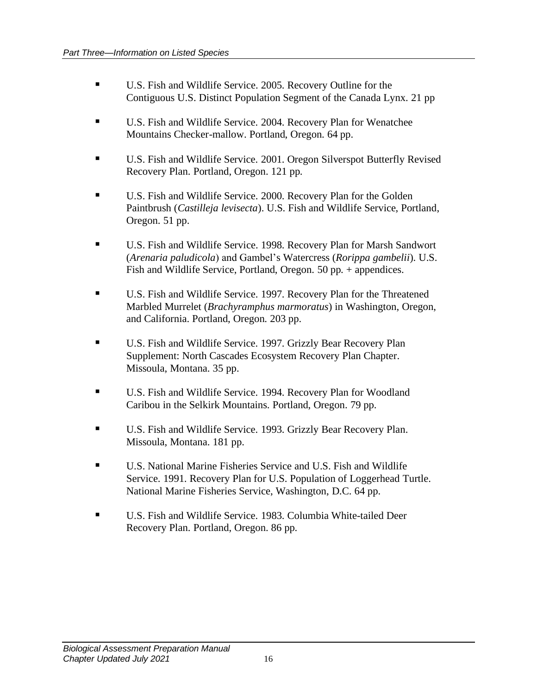- U.S. Fish and Wildlife Service. 2005. Recovery Outline for the Contiguous U.S. Distinct Population Segment of the Canada Lynx. 21 pp
- U.S. Fish and Wildlife Service. 2004. Recovery Plan for Wenatchee Mountains Checker-mallow. Portland, Oregon. 64 pp.
- U.S. Fish and Wildlife Service. 2001. Oregon Silverspot Butterfly Revised Recovery Plan. Portland, Oregon. 121 pp.
- U.S. Fish and Wildlife Service. 2000. Recovery Plan for the Golden Paintbrush (*Castilleja levisecta*). U.S. Fish and Wildlife Service, Portland, Oregon. 51 pp.
- U.S. Fish and Wildlife Service. 1998. Recovery Plan for Marsh Sandwort (*Arenaria paludicola*) and Gambel's Watercress (*Rorippa gambelii*). U.S. Fish and Wildlife Service, Portland, Oregon. 50 pp. + appendices.
- U.S. Fish and Wildlife Service. 1997. Recovery Plan for the Threatened Marbled Murrelet (*Brachyramphus marmoratus*) in Washington, Oregon, and California. Portland, Oregon. 203 pp.
- U.S. Fish and Wildlife Service. 1997. Grizzly Bear Recovery Plan Supplement: North Cascades Ecosystem Recovery Plan Chapter. Missoula, Montana. 35 pp.
- U.S. Fish and Wildlife Service. 1994. Recovery Plan for Woodland Caribou in the Selkirk Mountains. Portland, Oregon. 79 pp.
- U.S. Fish and Wildlife Service. 1993. Grizzly Bear Recovery Plan. Missoula, Montana. 181 pp.
- U.S. National Marine Fisheries Service and U.S. Fish and Wildlife Service. 1991. Recovery Plan for U.S. Population of Loggerhead Turtle. National Marine Fisheries Service, Washington, D.C. 64 pp.
- U.S. Fish and Wildlife Service. 1983. Columbia White-tailed Deer Recovery Plan. Portland, Oregon. 86 pp.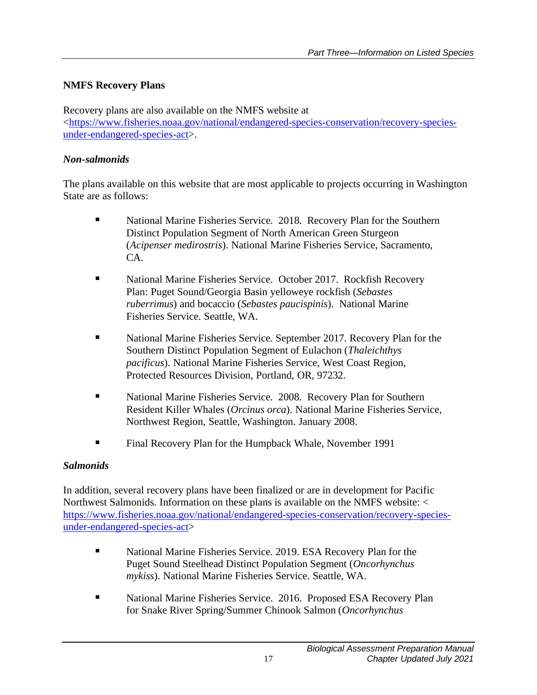#### **NMFS Recovery Plans**

Recovery plans are also available on the NMFS website at [<https://www.fisheries.noaa.gov/national/endangered-species-conservation/recovery-species](https://www.fisheries.noaa.gov/national/endangered-species-conservation/recovery-species-under-endangered-species-act)[under-endangered-species-act>](https://www.fisheries.noaa.gov/national/endangered-species-conservation/recovery-species-under-endangered-species-act).

#### *Non-salmonids*

The plans available on this website that are most applicable to projects occurring in Washington State are as follows:

- National Marine Fisheries Service. 2018. Recovery Plan for the Southern Distinct Population Segment of North American Green Sturgeon (*Acipenser medirostris*). National Marine Fisheries Service, Sacramento, CA.
- National Marine Fisheries Service. October 2017. Rockfish Recovery Plan: Puget Sound/Georgia Basin yelloweye rockfish (*Sebastes ruberrimus*) and bocaccio (*Sebastes paucispinis*). National Marine Fisheries Service. Seattle, WA.
- National Marine Fisheries Service. September 2017. Recovery Plan for the Southern Distinct Population Segment of Eulachon (*Thaleichthys pacificus*). National Marine Fisheries Service, West Coast Region, Protected Resources Division, Portland, OR, 97232.
- National Marine Fisheries Service. 2008. Recovery Plan for Southern Resident Killer Whales (*Orcinus orca*). National Marine Fisheries Service, Northwest Region, Seattle, Washington. January 2008.
- Final Recovery Plan for the Humpback Whale, November 1991

#### *Salmonids*

In addition, several recovery plans have been finalized or are in development for Pacific Northwest Salmonids. Information on these plans is available on the NMFS website: < [https://www.fisheries.noaa.gov/national/endangered-species-conservation/recovery-species](https://www.fisheries.noaa.gov/national/endangered-species-conservation/recovery-species-under-endangered-species-act)[under-endangered-species-act>](https://www.fisheries.noaa.gov/national/endangered-species-conservation/recovery-species-under-endangered-species-act)

- National Marine Fisheries Service. 2019. ESA Recovery Plan for the Puget Sound Steelhead Distinct Population Segment (*Oncorhynchus mykiss*). National Marine Fisheries Service. Seattle, WA.
- National Marine Fisheries Service. 2016. Proposed ESA Recovery Plan for Snake River Spring/Summer Chinook Salmon (*Oncorhynchus*